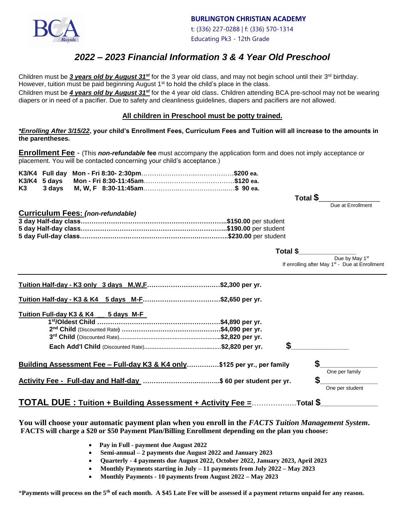

**BURLINGTON CHRISTIAN ACADEMY**

 t: (336) 227-0288 | f: (336) 570-1314 Educating Pk3 - 12th Grade

# *2022 – 2023 Financial Information 3 & 4 Year Old Preschool*

Children must be 3 years old by August 31<sup>st</sup> for the 3 year old class, and may not begin school until their 3<sup>rd</sup> birthday. However, tuition must be paid beginning August  $1<sup>st</sup>$  to hold the child's place in the class.

Children must be *4 years old by August 31st* for the 4 year old class. Children attending BCA pre-school may not be wearing diapers or in need of a pacifier. Due to safety and cleanliness guidelines, diapers and pacifiers are not allowed.

### **All children in Preschool must be potty trained.**

*\*Enrolling After 3/15/22***, your child's Enrollment Fees, Curriculum Fees and Tuition will all increase to the amounts in the parentheses.**

**Enrollment Fee** - (This *non-refundable* **fee** must accompany the application form and does not imply acceptance or placement. You will be contacted concerning your child's acceptance.)

| K3 | 3 days  M, W, F 8:30-11:45am…………………………………………\$  90 ea. |  |
|----|--------------------------------------------------------|--|

 **Total \$**\_\_\_\_\_\_\_\_\_\_\_\_\_\_\_\_\_ *Due at Enrollment* 

#### **Curriculum Fees:** *(non-refundable)*

| Total \$ |  |  |  |
|----------|--|--|--|
|          |  |  |  |

Due by May 1<sup>st</sup> If enrolling after May 1<sup>st</sup> - Due at Enrollment

| <u>Tuition Half-day - K3 only 3 days M,W,F</u> \$2,300 per yr.           |                  |   |                 |
|--------------------------------------------------------------------------|------------------|---|-----------------|
| Tuition Half-day - K3 & K4<br>5 days M-F\$2,650 per yr.                  |                  |   |                 |
| Tuition Full-day K3 & K4<br>5 days M-F                                   |                  |   |                 |
|                                                                          | .\$4,890 per yr. |   |                 |
|                                                                          |                  |   |                 |
|                                                                          |                  |   |                 |
|                                                                          |                  |   |                 |
| Building Assessment Fee - Full-day K3 & K4 only\$125 per yr., per family |                  |   |                 |
|                                                                          |                  |   | One per family  |
| Activity Fee - Full-day and Half-day \$ 60 per student per yr.           |                  | œ |                 |
|                                                                          |                  |   | One per student |
|                                                                          |                  |   |                 |

#### **You will choose your automatic payment plan when you enroll in the** *FACTS Tuition Management System***. FACTS will charge a \$20 or \$50 Payment Plan/Billing Enrollment depending on the plan you choose:**

- • **Pay in Full - payment due August 2022**
- **Semi-annual – 2 payments due August 2022 and January 2023**
- **Quarterly - 4 payments due August 2022, October 2022, January 2023, April 2023**
- **Monthly Payments starting in July – 11 payments from July 2022 – May 2023**
- **Monthly Payments - 10 payments from August 2022 – May 2023**

\***Payments will process on the 5th of each month. A \$45 Late Fee will be assessed if a payment returns unpaid for any reason.**